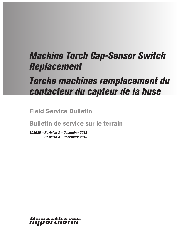# *Machine Torch Cap-Sensor Switch Replacement*

# *Torche machines remplacement du contacteur du capteur de la buse*

**Field Service Bulletin**

**Bulletin de service sur le terrain**

*806030 – Revision 3 – December 2013 Révision 3 – Décembre 2013*

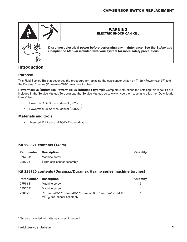

# **Introduction**

## **Purpose**

This Field Service Bulletin describes the procedure for replacing the cap-sensor switch on T45m (Powermax45®) and the Duramax™ series (Powermax65/85) machine torches.

**Powermax105 (Duramax)/Powermax125 (Duramax Hyamp)**: Complete instructions for installing this repair kit are included in the Service Manual. To download the Service Manual, go to www.hypertherm.com and click the "Downloads library" link.

- • Powermax105 Service Manual (807580)
- • Powermax125 Service Manual (808070)

### **Materials and tools**

**•** Assorted Phillips<sup>®</sup> and TORX<sup>®</sup> screwdrivers

## **Kit 228321 contents (T45m)**

| <b>Part number Description</b> |                          | <b>Quantity</b> |
|--------------------------------|--------------------------|-----------------|
| 075704*                        | Machine screw            |                 |
| 220724                         | T45m cap-sensor assembly |                 |

## **Kit 228720 contents (Duramax/Duramax Hyamp series machine torches)**

| <b>Part number</b> | <b>Description</b>                                                               | <b>Quantity</b> |
|--------------------|----------------------------------------------------------------------------------|-----------------|
| 075618*            | Machine screw                                                                    | 3               |
| 075704*            | Machine screw                                                                    |                 |
| 220929             | Powermax65/Powermax85/Powermax105/Powermax125/MRT/<br>$MRT2$ cap-sensor assembly |                 |

\* Screws included with kits as spares if needed.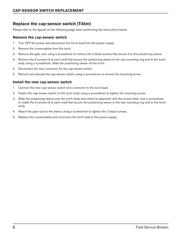# **Replace the cap-sensor switch (T45m)**

Please refer to the figures on the following page when performing the instructions below.

### **Remove the cap-sensor switch**

- 1. Turn OFF the power and disconnect the torch lead from the power supply.
- 2. Remove the consumables from the torch.
- 3. Remove the gear rack using a screwdriver to remove the 2 black screws that secure it to the positioning sleeve.
- 4. Remove the 6 screws (3 at each end) that secure the positioning sleeve to the rear mounting ring and to the torch body using a screwdriver. Slide the positioning sleeve off the torch.
- 5. Disconnect the wire connector for the cap-sensor switch.
- 6. Remove and discard the cap-sensor switch using a screwdriver to remove the mounting screw.

### **Install the new cap-sensor switch**

- 1. Connect the new cap-sensor switch wire connector to the torch lead.
- 2. Fasten the cap-sensor switch to the torch body using a screwdriver to tighten the mounting screw.
- 3. Slide the positioning sleeve over the torch body and check its alignment with the screw holes. Use a screwdriver to install the 6 screws (3 at each end) that secure the positioning sleeve to the rear mounting ring and to the torch body.
- 4. Attach the gear rack to the sleeve using a screwdriver to tighten the 2 black screws.
- 5. Replace the consumables and reconnect the torch lead to the power supply.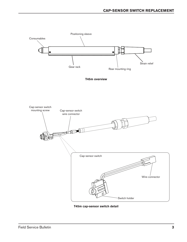

**T45m cap-sensor switch detail**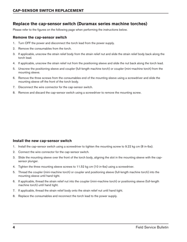## **Replace the cap-sensor switch (Duramax series machine torches)**

Please refer to the figures on the following page when performing the instructions below.

#### **Remove the cap-sensor switch**

- 1. Turn OFF the power and disconnect the torch lead from the power supply.
- 2. Remove the consumables from the torch.
- 3. If applicable, unscrew the strain relief body from the strain relief nut and slide the strain relief body back along the torch lead.
- 4. If applicable, unscrew the strain relief nut from the positioning sleeve and slide the nut back along the torch lead.
- 5. Unscrew the positioning sleeve and coupler (full-length machine torch) or coupler (mini-machine torch) from the mounting sleeve.
- 6. Remove the three screws from the consumables end of the mounting sleeve using a screwdriver and slide the mounting sleeve off the front of the torch body.
- 7. Disconnect the wire connector for the cap-sensor switch.
- 8. Remove and discard the cap-sensor switch using a screwdriver to remove the mounting screw.

#### **Install the new cap-sensor switch**

- 1. Install the cap-sensor switch using a screwdriver to tighten the mounting screw to 9.22 kg cm (8 in-lbs).
- 2. Connect the wire connector for the cap-sensor switch.
- 3. Slide the mounting sleeve over the front of the torch body, aligning the slot in the mounting sleeve with the capsensor plunger.
- 4. Tighten the three mounting sleeve screws to 11.52 kg cm (10 in-lbs) using a screwdriver.
- 5. Thread the coupler (mini-machine torch) or coupler and positioning sleeve (full-length machine torch) into the mounting sleeve until hand tight.
- 6. If applicable, thread the strain relief nut into the coupler (mini-machine torch) or positioning sleeve (full-length machine torch) until hand tight.
- 7. If applicable, thread the strain relief body onto the strain relief nut until hand tight.
- 8. Replace the consumables and reconnect the torch lead to the power supply.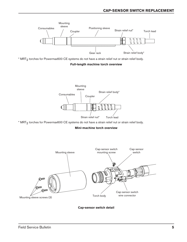

\* MRT<sub>2</sub> torches for Powermax600 CE systems do not have a strain relief nut or strain relief body.

#### **Full-length machine torch overview**



\* MRT<sub>2</sub> torches for Powermax600 CE systems do not have a strain relief nut or strain relief body.

#### **Mini-machine torch overview**



**Cap-sensor switch detail**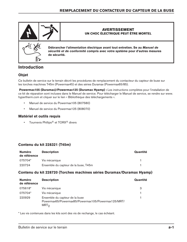

# **Introduction**

## **Objet**

Ce bulletin de service sur le terrain décrit les procédures de remplacement du contacteur du capteur de buse sur les torches machines T45m (Powermax45) et des séries Duramax (Powermax65/85).

 **Powermax105 (Duramax)/Powermax125 (Duramax Hyamp) :** Les instructions complètes pour l'installation de ce kit de réparation sont incluses dans le Manuel de service. Pour télécharger le Manuel de service, se rendre sur www. hypertherm.com et cliquer sur le lien « Bibliothèque des téléchargements ».

- • Manuel de service du Powermax105 (807580)
- • Manuel de service du Powermax125 (808070)

## **Matériel et outils requis**

**•** Tournevis Phillips<sup>®</sup> et TORX<sup>®</sup> divers

## **Contenu du kit 228321 (T45m)**

| <b>Numéro</b><br>de référence | <b>Description</b>                   | Quantité |
|-------------------------------|--------------------------------------|----------|
| 075704*                       | Vis mécanique                        |          |
| 220724                        | Ensemble du capteur de la buse, T45m |          |

## **Contenu du kit 228720 (Torches machines séries Duramax/Duramax Hyamp)**

| <b>Numéro</b><br>de référence | <b>Description</b>                                                                                       | Quantité |
|-------------------------------|----------------------------------------------------------------------------------------------------------|----------|
| 075618*                       | Vis mécanique                                                                                            | 3        |
| 075704*                       | Vis mécanique                                                                                            |          |
| 220929                        | Ensemble du capteur de la buse<br>Powermax65/Powermax85/Powermax105/Powermax125/MRT/<br>MRT <sub>2</sub> |          |

\* Les vis contenues dans les kits sont des vis de rechange, le cas échéant.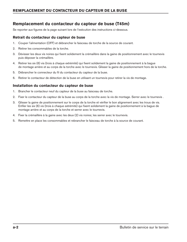# **Remplacement du contacteur du capteur de buse (T45m)**

Se reporter aux figures de la page suivant lors de l'exécution des instructions ci-dessous.

## **Retrait du contacteur du capteur de buse**

- 1. Couper l'alimentation (OFF) et débrancher le faisceau de torche de la source de courant.
- 2. Retirer les consommables de la torche.
- 3. Dévisser les deux vis noires qui fixent solidement la crémaillère dans la gaine de positionnement avec le tournevis puis déposer la crémaillère.
- 4. Retirer les six (6) vis (trois à chaque extrémité) qui fixent solidement la gaine de positionnement à la bague de montage arrière et au corps de la torche avec le tournevis. Glisser la gaine de positionnement hors de la torche.
- 5. Débrancher le connecteur du fil du contacteur du capteur de la buse.
- 6. Retirer le contacteur de détection de la buse en utilisant un tournevis pour retirer la vis de montage.

## **Installation du contacteur du capteur de buse**

- 1. Brancher le contacteur neuf du capteur de la buse au faisceau de torche.
- 2. Fixer le contacteur du capteur de la buse au corps de la torche avec la vis de montage. Serrer avec le tournevis .
- 3. Glisser la gaine de positionnement sur le corps de la torche et vérifier le bon alignement avec les trous de vis. Enfiler les six (6) vis (trois à chaque extrémité) qui fixent solidement la gaine de positionnement à la bague de montage arrière et au corps de la torche et serrer avec le tournevis.
- 4. Fixer la crémaillère à la gaine avec les deux (2) vis noires; les serrer avec le tournevis.
- 5. Remettre en place les consommables et rebrancher le faisceau de torche à la source de courant.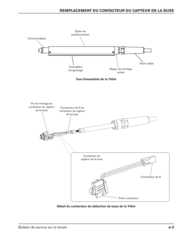

**Détail du contacteur de détection de buse de la T45m**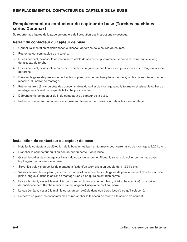## **Remplacement du contacteur du capteur de buse (Torches machines séries Duramax)**

Se reporter aux figures de la page suivant lors de l'exécution des instructions ci-dessous.

## **Retrait du contacteur du capteur de buse**

- 1. Couper l'alimentation et débrancher le faisceau de torche de la source de courant.
- 2. Retirer les consommables de la torche.
- 3. Le cas échéant, dévisser le corps du serre-câble de son écrou puis ramener le corps du serre-câble le long du faisceau de torche.
- 4. Le cas échéant, dévisser l'écrou du serre-câble de la gaine de positionnement puis le ramener le long du faisceau de torche.
- 5. Dévisser la gaine de positionnement et le coupleur (torche machine pleine longueur) ou le coupleur (mini-torche machine) du collier de montage.
- 6. Retirer les trois (3) vis du côté des consommables du collier de montage avec le tournevis et glisser le collier de montage vers l'avant du corps de la torche pour le retirer.
- 7. Débrancher le connecteur du fil du contacteur du capteur de la buse.
- 8. Retirer le contacteur du capteur de la buse en utilisant un tournevis pour retirer la vis de montage.

## **Installation du contacteur du capteur de buse**

- 1. Installer le contacteur de détection de la buse en utilisant un tournevis pour serrer la vis de montage à 9,22 kg cm.
- 2. Brancher le connecteur du fil du contacteur du capteur de la buse.
- 3. Glisser le collier de montage sur l'avant du corps de la torche. Aligner la rainure du collier de montage avec le plongeur du capteur de la buse.
- 4. Serrer les trois vis du collier de montage à l'aide d'un tournevis à un couple de 11,52 kg cm.
- 5. Visser à la main le coupleur (mini-torche machine) ou le coupleur et la gaine de positionnement (torche machine pleine longueur) dans le collier de montage jusqu'à ce qu'ils soient bien serrés.
- 6. Le cas échéant, visser à la main l'écrou du serre-câble dans le coupleur (mini-torche machine) ou la gaine de positionnement (torche machine pleine longueur) jusqu'à ce qu'il soit serré.
- 7. Le cas échéant, visser à la main le corps du serre-câble dans son écrou jusqu'à ce qu'il soit serré.
- 8. Remettre en place les consommables et rebrancher le faisceau de torche à la source de courant.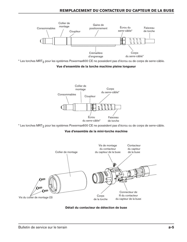

\* Les torches MRT<sub>2</sub> pour les systèmes Powermax600 CE ne possèdent pas d'écrou ou de corps de serre-câble.

#### **Vue d'ensemble de la torche machine pleine longueur**



\* Les torches MRT<sub>2</sub> pour les systèmes Powermax600 CE ne possèdent pas d'écrou ou de corps de serre-câble.

#### **Vue d'ensemble de la mini-torche machine**



**Détail du contacteur de détection de buse**